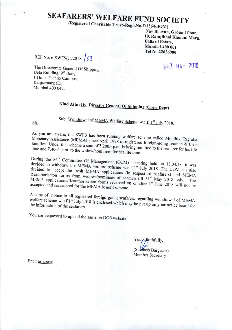# **SEAFARERS' WELFARE FUND SOCIETY**

(Registered Charitable Trust-Regn.No.F/1364/BOM)

Nav Bhavan, Ground floor, 10, Ramjibhai Kamani Marg, **Ballard Estate,** Mumbai-400 001 Tel No.22626980

REF.No. 6-SWFS(1)/2018 /63

**EIL7 MAY 2018** 

The Directorate General Of Shipping, Beta Building, 9<sup>th</sup> florr, I Think Techno Campus, Kanjurmarg (E), Mumbai 400 042.

## Kind Attn: Dy. Director General Of Shipping (Crew Dept)

Sub: Withdrawal of MEMA Welfare Scheme w.e.f. 1<sup>st</sup> July 2018.

Sir,

As you are aware, the SWFS has been running welfare scheme called Monthly Exgratia Monetary Assistance (MEMA) since April 1978 to registered foreign-going seamen & their families. Under this scheme a sum of ₹.200/- p.m. is being remitted to the seafarer for his life time and  $\overline{\tau}$ .400/- p.m. to the widow/nominees for her life time.

During the 86<sup>th</sup> Committee Of Management (COM) meeting held on 18.04.18, it was decided to withdraw the MEMA welfare scheme w.e.f 1<sup>st</sup> July 2018. The COM has also decided to accept the fresh MEMA applications (in respect of seafarers) and MEMA Reauthorisaton forms from widows/nominees of seamen till 31<sup>st</sup> May 2018 only. The MEMA applications/Reauthorisation forms received on or after 1<sup>st</sup> June 2018 will not be accepted and considered for the MEMA benefit scheme.

A copy of notice to all registered foreign going seafarers regarding withdrawal of MEMA welfare scheme w.e.f 1<sup>st</sup> July 2018 is enclosed which may be put up on your notice board for

You are requested to upload the same on DGS website.

Yours faithfully, (Subhash Barguzar) Member Secretary

Encl: as above